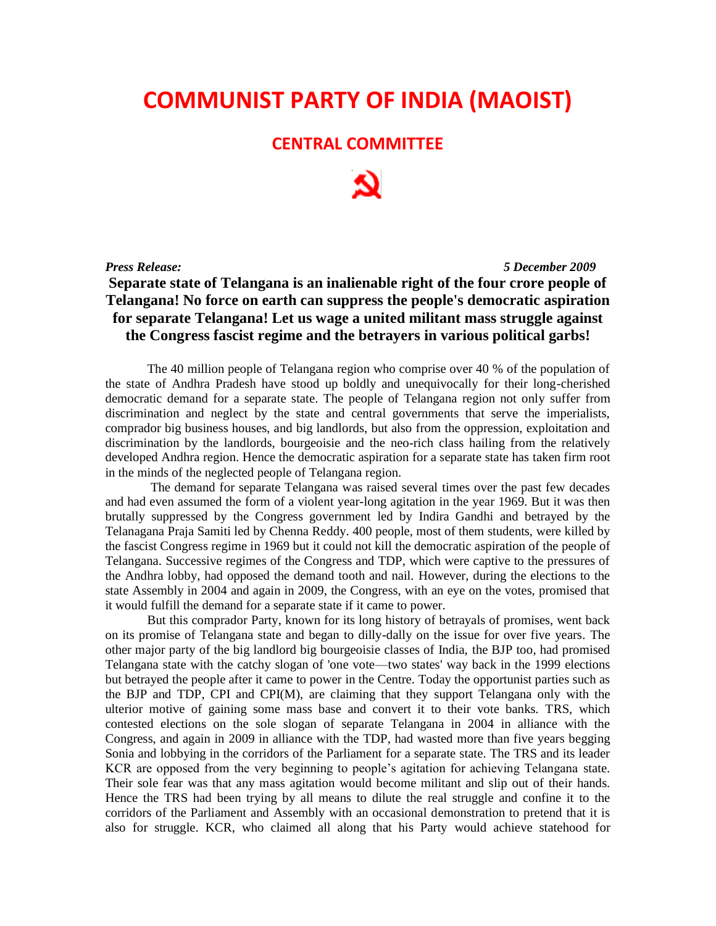## **COMMUNIST PARTY OF INDIA (MAOIST)**

## **CENTRAL COMMITTEE**

*Press Release: 5 December 2009*

## **Separate state of Telangana is an inalienable right of the four crore people of Telangana! No force on earth can suppress the people's democratic aspiration for separate Telangana! Let us wage a united militant mass struggle against the Congress fascist regime and the betrayers in various political garbs!**

The 40 million people of Telangana region who comprise over 40 % of the population of the state of Andhra Pradesh have stood up boldly and unequivocally for their long-cherished democratic demand for a separate state. The people of Telangana region not only suffer from discrimination and neglect by the state and central governments that serve the imperialists, comprador big business houses, and big landlords, but also from the oppression, exploitation and discrimination by the landlords, bourgeoisie and the neo-rich class hailing from the relatively developed Andhra region. Hence the democratic aspiration for a separate state has taken firm root in the minds of the neglected people of Telangana region.

The demand for separate Telangana was raised several times over the past few decades and had even assumed the form of a violent year-long agitation in the year 1969. But it was then brutally suppressed by the Congress government led by Indira Gandhi and betrayed by the Telanagana Praja Samiti led by Chenna Reddy. 400 people, most of them students, were killed by the fascist Congress regime in 1969 but it could not kill the democratic aspiration of the people of Telangana. Successive regimes of the Congress and TDP, which were captive to the pressures of the Andhra lobby, had opposed the demand tooth and nail. However, during the elections to the state Assembly in 2004 and again in 2009, the Congress, with an eye on the votes, promised that it would fulfill the demand for a separate state if it came to power.

But this comprador Party, known for its long history of betrayals of promises, went back on its promise of Telangana state and began to dilly-dally on the issue for over five years. The other major party of the big landlord big bourgeoisie classes of India, the BJP too, had promised Telangana state with the catchy slogan of 'one vote—two states' way back in the 1999 elections but betrayed the people after it came to power in the Centre. Today the opportunist parties such as the BJP and TDP, CPI and CPI(M), are claiming that they support Telangana only with the ulterior motive of gaining some mass base and convert it to their vote banks. TRS, which contested elections on the sole slogan of separate Telangana in 2004 in alliance with the Congress, and again in 2009 in alliance with the TDP, had wasted more than five years begging Sonia and lobbying in the corridors of the Parliament for a separate state. The TRS and its leader KCR are opposed from the very beginning to people's agitation for achieving Telangana state. Their sole fear was that any mass agitation would become militant and slip out of their hands. Hence the TRS had been trying by all means to dilute the real struggle and confine it to the corridors of the Parliament and Assembly with an occasional demonstration to pretend that it is also for struggle. KCR, who claimed all along that his Party would achieve statehood for